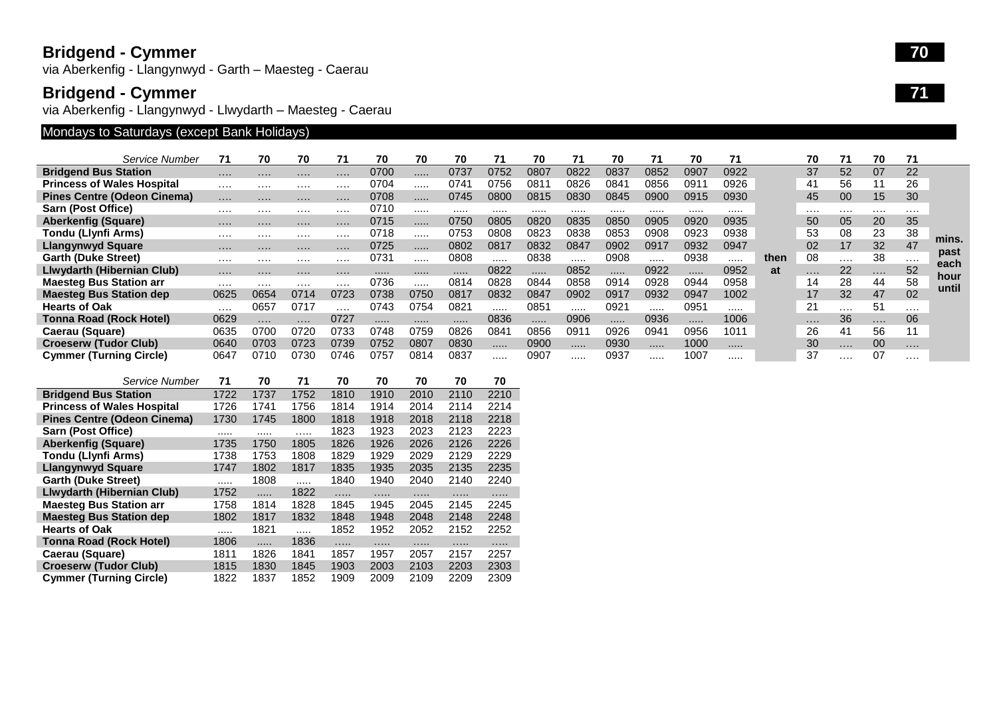### **Bridgend - Cymmer**

via Aberkenfig - Llangynwyd - Garth – Maesteg - Caerau

#### **Bridgend - Cymmer**

via Aberkenfig - Llangynwyd - Llwydarth – Maesteg - Caerau

# Mondays to Saturdays (except Bank Holidays)

|                                    | Service Number | 71       | 70       | 70       | 71       | 70   | 70   | 70   | 71   | 70   | 71   | 70            | 71   | 70   | 71   |      | 70       | 71 | 70 | 71       |               |
|------------------------------------|----------------|----------|----------|----------|----------|------|------|------|------|------|------|---------------|------|------|------|------|----------|----|----|----------|---------------|
| <b>Bridgend Bus Station</b>        |                | $\cdots$ | .        | .        |          | 0700 |      | 0737 | 0752 | 0807 | 0822 | 0837          | 0852 | 0907 | 0922 |      | 37       | 52 | 07 | 22       |               |
| <b>Princess of Wales Hospital</b>  |                | .        | .        | $\cdots$ |          | 0704 |      | 074  | 0756 | 081  | 0826 | 084           | 0856 | 091  | 0926 |      | 41       | 56 | 11 | 26       |               |
| <b>Pines Centre (Odeon Cinema)</b> |                | $\cdots$ | $\cdots$ | $\cdots$ |          | 0708 |      | 0745 | 0800 | 0815 | 0830 | 0845          | 0900 | 0915 | 0930 |      | 45       | 00 | 15 | 30       |               |
| Sarn (Post Office)                 |                | .        | .        | $\cdots$ |          | 0710 |      |      |      |      |      |               |      |      |      |      | $\cdots$ | .  | .  |          |               |
| <b>Aberkenfig (Square)</b>         |                | .        | .        | $\cdots$ | $\cdots$ | 0715 |      | 0750 | 0805 | 0820 | 0835 | 0850          | 0905 | 0920 | 0935 |      | 50       | 05 | 20 | 35       |               |
| Tondu (Llynfi Arms)                |                | .        | .        | $\cdots$ | $\cdots$ | 0718 |      | 0753 | 0808 | 0823 | 0838 | 0853          | 0908 | 0923 | 0938 |      | 53       | 08 | 23 | 38       |               |
| <b>Llangynwyd Square</b>           |                | .        | $\cdots$ | $\cdots$ | $\cdots$ | 0725 |      | 0802 | 0817 | 0832 | 0847 | 0902          | 0917 | 0932 | 0947 |      | 02       | 17 | 32 | 47       | mins.<br>past |
| <b>Garth (Duke Street)</b>         |                | .        | .        | .        | .        | 0731 |      | 0808 | .    | 0838 |      | 0908          |      | 0938 |      | then | 08       | .  | 38 | $\cdots$ | each          |
| Llwydarth (Hibernian Club)         |                | $\cdots$ |          | $\cdots$ |          |      |      |      | 0822 |      | 0852 | .             | 0922 | .    | 0952 | at   | .        | 22 | .  | 52       |               |
| <b>Maesteg Bus Station arr</b>     |                | .        | .        | .        |          | 0736 |      | 0814 | 0828 | 0844 | 0858 | 0914          | 0928 | 0944 | 0958 |      | 14       | 28 | 44 | 58       | hour<br>until |
| <b>Maesteg Bus Station dep</b>     |                | 0625     | 0654     | 0714     | 0723     | 0738 | 0750 | 0817 | 0832 | 0847 | 0902 | 0917          | 0932 | 0947 | 1002 |      | 17       | 32 | 47 | 02       |               |
| <b>Hearts of Oak</b>               |                | .        | 0657     | 0717     | .        | 0743 | 0754 | 0821 | .    | 085  |      | $092^{\circ}$ |      | 095' |      |      | 21       | .  | 51 | $\cdots$ |               |
| <b>Tonna Road (Rock Hotel)</b>     |                | 0629     | $\cdots$ | .        | 0727     |      |      |      | 0836 |      | 0906 |               | 0936 | .    | 1006 |      | $\cdots$ | 36 | .  | 06       |               |
| Caerau (Square)                    |                | 0635     | 0700     | 0720     | 0733     | 0748 | 0759 | 0826 | 084  | 0856 | 0911 | 0926          | 0941 | 0956 | 1011 |      | 26       | 41 | 56 |          |               |
| <b>Croeserw (Tudor Club)</b>       |                | 0640     | 0703     | 0723     | 0739     | 0752 | 0807 | 0830 | .    | 0900 |      | 0930          |      | 1000 |      |      | 30       | .  | 00 | $\cdots$ |               |
| <b>Cymmer (Turning Circle)</b>     |                | 0647     | 0710     | 0730     | 0746     | 0757 | 0814 | 0837 | .    | 0907 |      | 0937          |      | 1007 |      |      | 37       | .  | 07 | .        |               |

|                                    | Service Number | 71   | 70   | 71   | 70   | 70   | 70   | 70   | 70   |
|------------------------------------|----------------|------|------|------|------|------|------|------|------|
| <b>Bridgend Bus Station</b>        |                | 1722 | 1737 | 1752 | 1810 | 1910 | 2010 | 2110 | 2210 |
| <b>Princess of Wales Hospital</b>  |                | 1726 | 1741 | 1756 | 1814 | 1914 | 2014 | 2114 | 2214 |
| <b>Pines Centre (Odeon Cinema)</b> |                | 1730 | 1745 | 1800 | 1818 | 1918 | 2018 | 2118 | 2218 |
| Sarn (Post Office)                 |                |      | .    | .    | 1823 | 1923 | 2023 | 2123 | 2223 |
| <b>Aberkenfig (Square)</b>         |                | 1735 | 1750 | 1805 | 1826 | 1926 | 2026 | 2126 | 2226 |
| Tondu (Llynfi Arms)                |                | 1738 | 1753 | 1808 | 1829 | 1929 | 2029 | 2129 | 2229 |
| Llangynwyd Square                  |                | 1747 | 1802 | 1817 | 1835 | 1935 | 2035 | 2135 | 2235 |
| <b>Garth (Duke Street)</b>         |                | .    | 1808 | .    | 1840 | 1940 | 2040 | 2140 | 2240 |
| Llwydarth (Hibernian Club)         |                | 1752 | .    | 1822 | .    | .    | .    | .    | .    |
| <b>Maesteg Bus Station arr</b>     |                | 1758 | 1814 | 1828 | 1845 | 1945 | 2045 | 2145 | 2245 |
| <b>Maesteg Bus Station dep</b>     |                | 1802 | 1817 | 1832 | 1848 | 1948 | 2048 | 2148 | 2248 |
| <b>Hearts of Oak</b>               |                | .    | 1821 | .    | 1852 | 1952 | 2052 | 2152 | 2252 |
| <b>Tonna Road (Rock Hotel)</b>     |                | 1806 |      | 1836 |      | .    | .    | .    | .    |
| Caerau (Square)                    |                | 1811 | 1826 | 1841 | 1857 | 1957 | 2057 | 2157 | 2257 |
| <b>Croeserw (Tudor Club)</b>       |                | 1815 | 1830 | 1845 | 1903 | 2003 | 2103 | 2203 | 2303 |
| <b>Cymmer (Turning Circle)</b>     |                | 1822 | 1837 | 1852 | 1909 | 2009 | 2109 | 2209 | 2309 |

**7 0** 

**7 1**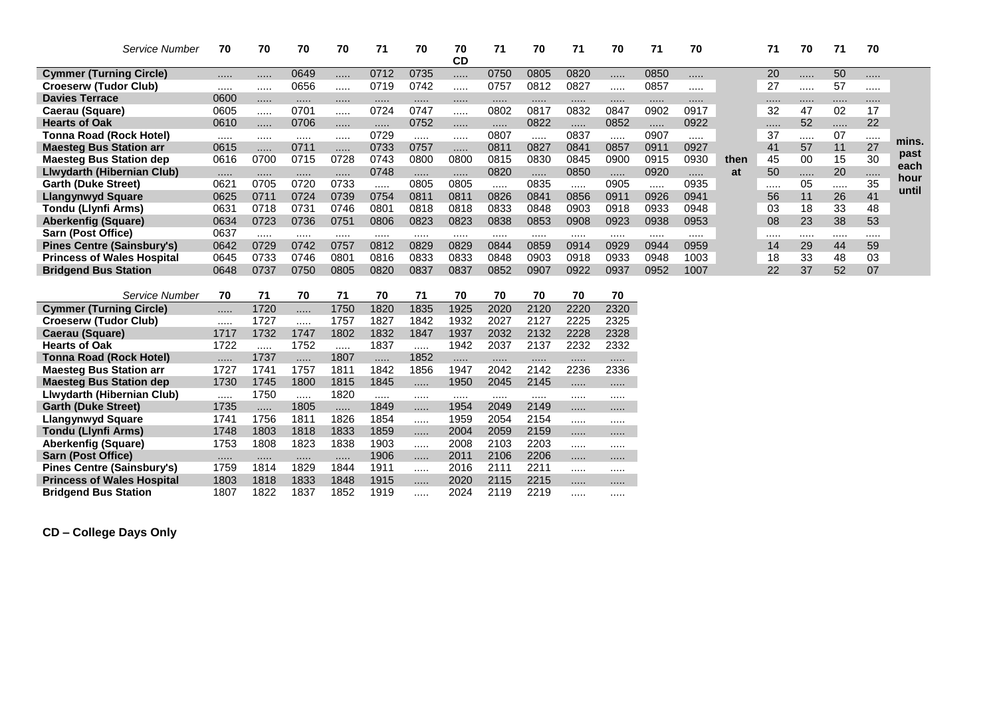| Service Number                    | 70   | 70   | 70   | 70   | 71   | 70   | 70<br><b>CD</b> | 71   | 70   | 71   | 70   | 71   | 70   |      | 71 | 70 | 71 | 70 |              |
|-----------------------------------|------|------|------|------|------|------|-----------------|------|------|------|------|------|------|------|----|----|----|----|--------------|
| <b>Cymmer (Turning Circle)</b>    |      |      | 0649 | .    | 0712 | 0735 |                 | 0750 | 0805 | 0820 |      | 0850 |      |      | 20 | .  | 50 |    |              |
| <b>Croeserw (Tudor Club)</b>      |      |      | 0656 | .    | 0719 | 0742 |                 | 0757 | 0812 | 0827 |      | 0857 |      |      | 27 |    | 57 |    |              |
| <b>Davies Terrace</b>             | 0600 |      |      |      |      |      |                 |      |      |      |      |      |      |      |    |    |    |    |              |
| Caerau (Square)                   | 0605 |      | 0701 | .    | 0724 | 0747 |                 | 0802 | 0817 | 0832 | 0847 | 0902 | 0917 |      | 32 | 47 | 02 | 17 |              |
| <b>Hearts of Oak</b>              | 0610 |      | 0706 | .    | .    | 0752 |                 |      | 0822 |      | 0852 |      | 0922 |      | .  | 52 |    | 22 |              |
| Tonna Road (Rock Hotel)           |      |      |      |      | 0729 |      |                 | 0807 |      | 0837 |      | 0907 |      |      | 37 |    | 07 |    |              |
| <b>Maesteg Bus Station arr</b>    | 0615 |      | 0711 | .    | 0733 | 0757 | $\cdots$        | 0811 | 0827 | 0841 | 0857 | 0911 | 0927 |      | 41 | 57 | 11 | 27 | mins.        |
| <b>Maesteg Bus Station dep</b>    | 0616 | 0700 | 0715 | 0728 | 0743 | 0800 | 0800            | 0815 | 0830 | 0845 | 0900 | 0915 | 0930 | then | 45 | 00 | 15 | 30 | past<br>each |
| Llwydarth (Hibernian Club)        |      |      |      | .    | 0748 |      |                 | 0820 | .    | 0850 |      | 0920 |      | at   | 50 |    | 20 |    | hour         |
| <b>Garth (Duke Street)</b>        | 0621 | 0705 | 0720 | 0733 |      | 0805 | 0805            |      | 0835 | .    | 0905 | .    | 0935 |      |    | 05 |    | 35 | until        |
| Llangynwyd Square                 | 0625 | 0711 | 0724 | 0739 | 0754 | 0811 | 0811            | 0826 | 0841 | 0856 | 0911 | 0926 | 0941 |      | 56 | 11 | 26 | 41 |              |
| Tondu (Llynfi Arms)               | 0631 | 0718 | 0731 | 0746 | 0801 | 0818 | 0818            | 0833 | 0848 | 0903 | 0918 | 0933 | 0948 |      | 03 | 18 | 33 | 48 |              |
| <b>Aberkenfig (Square)</b>        | 0634 | 0723 | 0736 | 0751 | 0806 | 0823 | 0823            | 0838 | 0853 | 0908 | 0923 | 0938 | 0953 |      | 08 | 23 | 38 | 53 |              |
| Sarn (Post Office)                | 0637 |      |      |      |      |      |                 |      |      |      |      |      |      |      |    |    |    |    |              |
| <b>Pines Centre (Sainsbury's)</b> | 0642 | 0729 | 0742 | 0757 | 0812 | 0829 | 0829            | 0844 | 0859 | 0914 | 0929 | 0944 | 0959 |      | 14 | 29 | 44 | 59 |              |
| <b>Princess of Wales Hospital</b> | 0645 | 0733 | 0746 | 0801 | 0816 | 0833 | 0833            | 0848 | 0903 | 0918 | 0933 | 0948 | 1003 |      | 18 | 33 | 48 | 03 |              |
| <b>Bridgend Bus Station</b>       | 0648 | 0737 | 0750 | 0805 | 0820 | 0837 | 0837            | 0852 | 0907 | 0922 | 0937 | 0952 | 1007 |      | 22 | 37 | 52 | 07 |              |
|                                   |      |      |      |      |      |      |                 |      |      |      |      |      |      |      |    |    |    |    |              |
| Service Number                    | 70   | 71   | 70   | 71   | 70   | 71   | 70              | 70   | 70   | 70   | 70   |      |      |      |    |    |    |    |              |
| <b>Cymmer (Turning Circle)</b>    |      | 1720 |      | 1750 | 1820 | 1835 | 1925            | 2020 | 2120 | 2220 | 2320 |      |      |      |    |    |    |    |              |
| <b>Croeserw (Tudor Club)</b>      |      | 1727 |      | 1757 | 1827 | 1842 | 1932            | 2027 | 2127 | 2225 | 2325 |      |      |      |    |    |    |    |              |
| Caerau (Square)                   | 1717 | 1732 | 1747 | 1802 | 1832 | 1847 | 1937            | 2032 | 2132 | 2228 | 2328 |      |      |      |    |    |    |    |              |
| <b>Hearts of Oak</b>              | 1722 |      | 1752 |      | 1837 |      | 1942            | 2037 | 2137 | 2232 | 2332 |      |      |      |    |    |    |    |              |
| <b>Tonna Road (Rock Hotel)</b>    |      | 1737 | .    | 1807 | .    | 1852 |                 |      | .    |      |      |      |      |      |    |    |    |    |              |

| <b>Maesteg Bus Station arr</b>    | 1727 | 1741 | 1757 | 1811 | 1842 | 1856 | 1947 | 2042 | 2142 | 2236 | 2336 |
|-----------------------------------|------|------|------|------|------|------|------|------|------|------|------|
| <b>Maesteg Bus Station dep</b>    | 1730 | 1745 | 1800 | 1815 | 1845 | .    | 1950 | 2045 | 2145 |      |      |
| Llwydarth (Hibernian Club)        |      | 1750 | .    | 1820 |      |      |      |      |      |      |      |
| <b>Garth (Duke Street)</b>        | 1735 | .    | 1805 | .    | 1849 | .    | 1954 | 2049 | 2149 |      |      |
| Llangynwyd Square                 | 1741 | 1756 | 1811 | 1826 | 1854 | .    | 1959 | 2054 | 2154 |      |      |
| Tondu (Llynfi Arms)               | 1748 | 1803 | 1818 | 1833 | 1859 | .    | 2004 | 2059 | 2159 |      |      |
| Aberkenfig (Square)               | 1753 | 1808 | 1823 | 1838 | 1903 |      | 2008 | 2103 | 2203 |      |      |
| <b>Sarn (Post Office)</b>         |      |      |      | .    | 1906 |      | 2011 | 2106 | 2206 |      |      |
| <b>Pines Centre (Sainsbury's)</b> | 1759 | 1814 | 1829 | 1844 | 1911 |      | 2016 | 2111 | 2211 |      |      |
| <b>Princess of Wales Hospital</b> | 1803 | 1818 | 1833 | 1848 | 1915 | .    | 2020 | 2115 | 2215 |      |      |
| <b>Bridgend Bus Station</b>       | 1807 | 1822 | 1837 | 1852 | 1919 | .    | 2024 | 2119 | 2219 |      |      |

**CD – College Days Only**